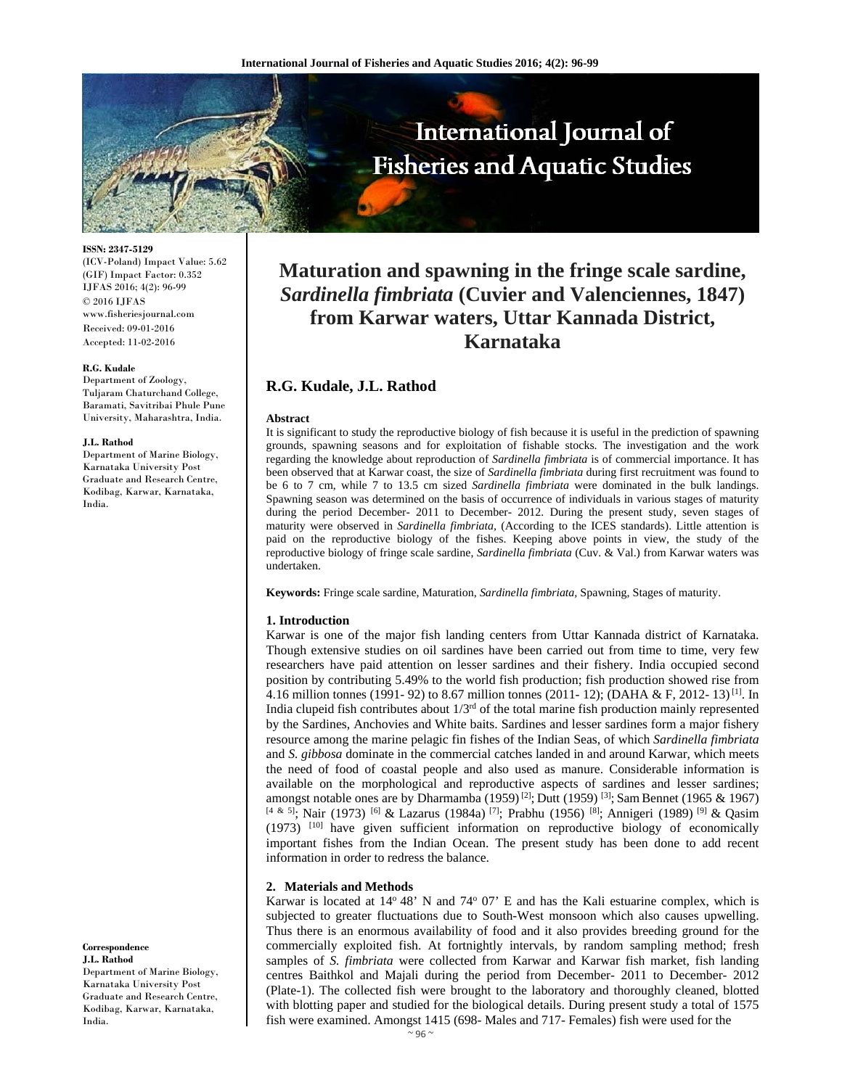

**ISSN: 2347-5129** 

(ICV-Poland) Impact Value: 5.62 (GIF) Impact Factor: 0.352 IJFAS 2016; 4(2): 96-99 © 2016 IJFAS www.fisheriesjournal.com Received: 09-01-2016 Accepted: 11-02-2016

#### **R.G. Kudale**

Department of Zoology, Tuljaram Chaturchand College, Baramati, Savitribai Phule Pune University, Maharashtra, India.

#### **J.L. Rathod**

Department of Marine Biology, Karnataka University Post Graduate and Research Centre, Kodibag, Karwar, Karnataka, India.

**Correspondence J.L. Rathod**

Department of Marine Biology, Karnataka University Post Graduate and Research Centre, Kodibag, Karwar, Karnataka, India.

# **Maturation and spawning in the fringe scale sardine,**  *Sardinella fimbriata* **(Cuvier and Valenciennes, 1847) from Karwar waters, Uttar Kannada District, Karnataka**

# **R.G. Kudale, J.L. Rathod**

#### **Abstract**

It is significant to study the reproductive biology of fish because it is useful in the prediction of spawning grounds, spawning seasons and for exploitation of fishable stocks. The investigation and the work regarding the knowledge about reproduction of *Sardinella fimbriata* is of commercial importance. It has been observed that at Karwar coast, the size of *Sardinella fimbriata* during first recruitment was found to be 6 to 7 cm, while 7 to 13.5 cm sized *Sardinella fimbriata* were dominated in the bulk landings. Spawning season was determined on the basis of occurrence of individuals in various stages of maturity during the period December- 2011 to December- 2012. During the present study, seven stages of maturity were observed in *Sardinella fimbriata,* (According to the ICES standards). Little attention is paid on the reproductive biology of the fishes. Keeping above points in view, the study of the reproductive biology of fringe scale sardine, *Sardinella fimbriata* (Cuv. & Val.) from Karwar waters was undertaken.

**Keywords:** Fringe scale sardine, Maturation, *Sardinella fimbriata,* Spawning, Stages of maturity.

## **1. Introduction**

Karwar is one of the major fish landing centers from Uttar Kannada district of Karnataka. Though extensive studies on oil sardines have been carried out from time to time, very few researchers have paid attention on lesser sardines and their fishery. India occupied second position by contributing 5.49% to the world fish production; fish production showed rise from 4.16 million tonnes (1991- 92) to 8.67 million tonnes (2011- 12); (DAHA & F, 2012- 13)<sup>[1]</sup>. In India clupeid fish contributes about  $1/3^{rd}$  of the total marine fish production mainly represented by the Sardines, Anchovies and White baits. Sardines and lesser sardines form a major fishery resource among the marine pelagic fin fishes of the Indian Seas, of which *Sardinella fimbriata*  and *S. gibbosa* dominate in the commercial catches landed in and around Karwar, which meets the need of food of coastal people and also used as manure. Considerable information is available on the morphological and reproductive aspects of sardines and lesser sardines; amongst notable ones are by Dharmamba (1959)<sup>[2]</sup>; Dutt (1959)<sup>[3]</sup>; Sam Bennet (1965 & 1967) [4 & 5]; Nair (1973) <sup>[6]</sup> & Lazarus (1984a) <sup>[7]</sup>; Prabhu (1956) <sup>[8]</sup>; Annigeri (1989) <sup>[9]</sup> & Qasim (1973) [10] have given sufficient information on reproductive biology of economically important fishes from the Indian Ocean. The present study has been done to add recent information in order to redress the balance.

## **2. Materials and Methods**

Karwar is located at  $14^{\circ} 48'$  N and  $74^{\circ} 07'$  E and has the Kali estuarine complex, which is subjected to greater fluctuations due to South-West monsoon which also causes upwelling. Thus there is an enormous availability of food and it also provides breeding ground for the commercially exploited fish. At fortnightly intervals, by random sampling method; fresh samples of *S. fimbriata* were collected from Karwar and Karwar fish market, fish landing centres Baithkol and Majali during the period from December- 2011 to December- 2012 (Plate-1). The collected fish were brought to the laboratory and thoroughly cleaned, blotted with blotting paper and studied for the biological details. During present study a total of 1575 fish were examined. Amongst 1415 (698- Males and 717- Females) fish were used for the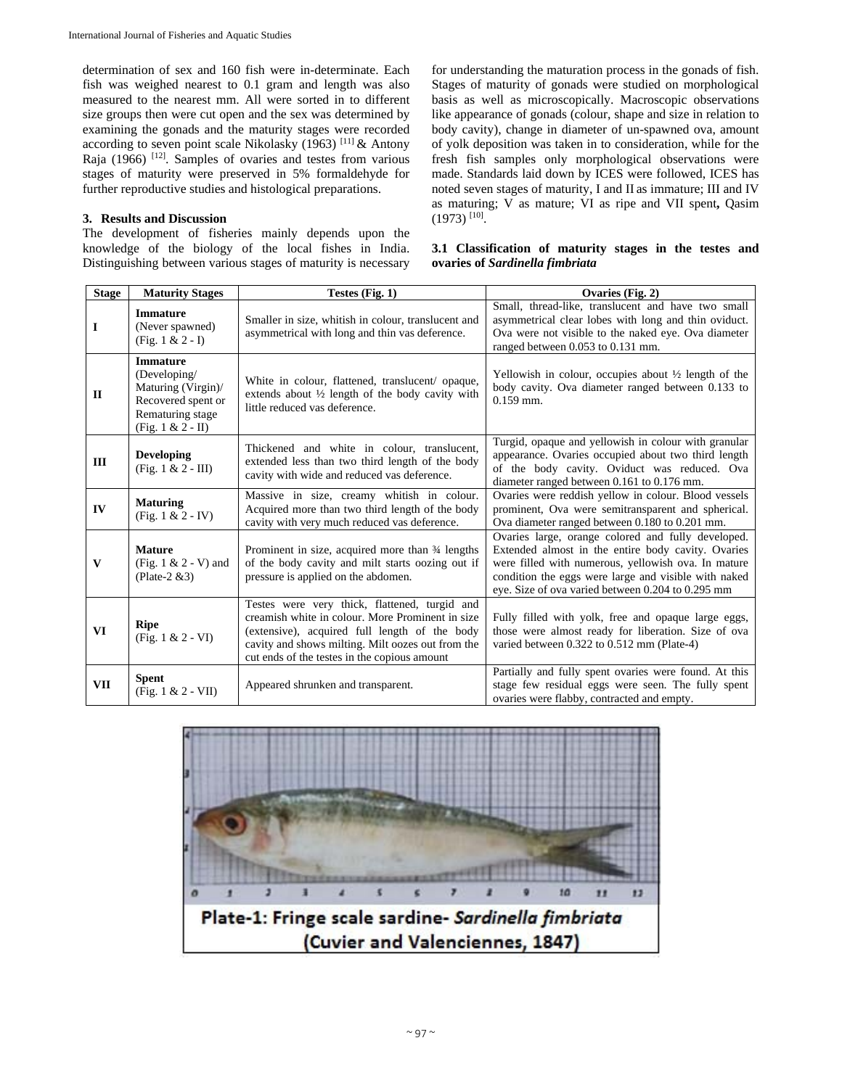determination of sex and 160 fish were in-determinate. Each fish was weighed nearest to 0.1 gram and length was also measured to the nearest mm. All were sorted in to different size groups then were cut open and the sex was determined by examining the gonads and the maturity stages were recorded according to seven point scale Nikolasky (1963) [11] & Antony Raja (1966)  $[12]$ . Samples of ovaries and testes from various stages of maturity were preserved in 5% formaldehyde for further reproductive studies and histological preparations.

# **3. Results and Discussion**

The development of fisheries mainly depends upon the knowledge of the biology of the local fishes in India. Distinguishing between various stages of maturity is necessary for understanding the maturation process in the gonads of fish. Stages of maturity of gonads were studied on morphological basis as well as microscopically. Macroscopic observations like appearance of gonads (colour, shape and size in relation to body cavity), change in diameter of un-spawned ova, amount of yolk deposition was taken in to consideration, while for the fresh fish samples only morphological observations were made. Standards laid down by ICES were followed, ICES has noted seven stages of maturity, I and II as immature; III and IV as maturing; V as mature; VI as ripe and VII spent**,** Qasim  $(1973)$ <sup>[10]</sup>.

| 3.1 Classification of maturity stages in the testes and |  |  |  |  |  |
|---------------------------------------------------------|--|--|--|--|--|
| ovaries of Sardinella fimbriata                         |  |  |  |  |  |

| <b>Stage</b> | <b>Maturity Stages</b>                                                                                                  | Testes (Fig. 1)                                                                                                                                                                                                                                         | Ovaries (Fig. 2)                                                                                                                                                                                                                                                             |  |  |  |
|--------------|-------------------------------------------------------------------------------------------------------------------------|---------------------------------------------------------------------------------------------------------------------------------------------------------------------------------------------------------------------------------------------------------|------------------------------------------------------------------------------------------------------------------------------------------------------------------------------------------------------------------------------------------------------------------------------|--|--|--|
| 1            | <b>Immature</b><br>(Never spawned)<br>(Fig. $1 & 2 - I$ )                                                               | Smaller in size, whitish in colour, translucent and<br>asymmetrical with long and thin vas deference.                                                                                                                                                   | Small, thread-like, translucent and have two small<br>asymmetrical clear lobes with long and thin oviduct.<br>Ova were not visible to the naked eye. Ova diameter<br>ranged between 0.053 to 0.131 mm.                                                                       |  |  |  |
| П            | <b>Immature</b><br>(Developing/<br>Maturing (Virgin)/<br>Recovered spent or<br>Rematuring stage<br>(Fig. $1 & 2 - II$ ) | White in colour, flattened, translucent/ opaque,<br>extends about 1/2 length of the body cavity with<br>little reduced vas deference.                                                                                                                   | Yellowish in colour, occupies about $\frac{1}{2}$ length of the<br>body cavity. Ova diameter ranged between 0.133 to<br>$0.159$ mm.                                                                                                                                          |  |  |  |
| III          | <b>Developing</b><br>(Fig. 1 & 2 - III)                                                                                 | Thickened and white in colour, translucent,<br>extended less than two third length of the body<br>cavity with wide and reduced vas deference.                                                                                                           | Turgid, opaque and yellowish in colour with granular<br>appearance. Ovaries occupied about two third length<br>of the body cavity. Oviduct was reduced. Ova<br>diameter ranged between 0.161 to 0.176 mm.                                                                    |  |  |  |
| IV           | <b>Maturing</b><br>(Fig. $1 & 2 - IV$ )                                                                                 | Massive in size, creamy whitish in colour.<br>Acquired more than two third length of the body<br>cavity with very much reduced vas deference.                                                                                                           | Ovaries were reddish yellow in colour. Blood vessels<br>prominent, Ova were semitransparent and spherical.<br>Ova diameter ranged between 0.180 to 0.201 mm.                                                                                                                 |  |  |  |
| $\mathbf{V}$ | <b>Mature</b><br>(Fig. $1 \& 2 - V$ ) and<br>(Plate-2 $&3$ )                                                            | Prominent in size, acquired more than 34 lengths<br>of the body cavity and milt starts oozing out if<br>pressure is applied on the abdomen.                                                                                                             | Ovaries large, orange colored and fully developed.<br>Extended almost in the entire body cavity. Ovaries<br>were filled with numerous, yellowish ova. In mature<br>condition the eggs were large and visible with naked<br>eye. Size of ova varied between 0.204 to 0.295 mm |  |  |  |
| VI           | <b>Ripe</b><br>(Fig. 1 & 2 - VI)                                                                                        | Testes were very thick, flattened, turgid and<br>creamish white in colour. More Prominent in size<br>(extensive), acquired full length of the body<br>cavity and shows milting. Milt oozes out from the<br>cut ends of the testes in the copious amount | Fully filled with yolk, free and opaque large eggs,<br>those were almost ready for liberation. Size of ova<br>varied between 0.322 to 0.512 mm (Plate-4)                                                                                                                     |  |  |  |
| VII          | <b>Spent</b><br>(Fig. 1 & 2 - VII)                                                                                      | Appeared shrunken and transparent.                                                                                                                                                                                                                      | Partially and fully spent ovaries were found. At this<br>stage few residual eggs were seen. The fully spent<br>ovaries were flabby, contracted and empty.                                                                                                                    |  |  |  |

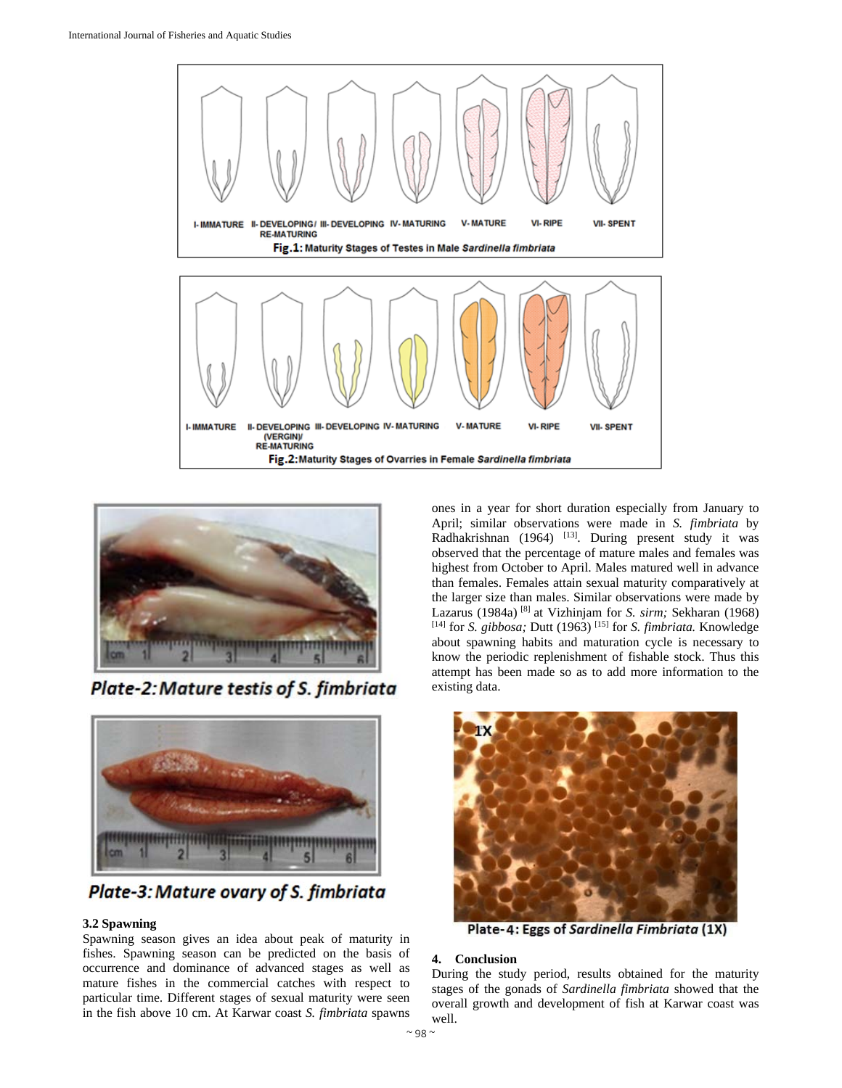



Plate-2: Mature testis of S. fimbriata



Plate-3: Mature ovary of S. fimbriata

## **3.2 Spawning**

Spawning season gives an idea about peak of maturity in fishes. Spawning season can be predicted on the basis of occurrence and dominance of advanced stages as well as mature fishes in the commercial catches with respect to particular time. Different stages of sexual maturity were seen in the fish above 10 cm. At Karwar coast *S. fimbriata* spawns

ones in a year for short duration especially from January to April; similar observations were made in *S. fimbriata* by Radhakrishnan (1964)  $^{[13]}$ . During present study it was observed that the percentage of mature males and females was highest from October to April. Males matured well in advance than females. Females attain sexual maturity comparatively at the larger size than males. Similar observations were made by Lazarus (1984a) [8] at Vizhinjam for *S. sirm;* Sekharan (1968) [14] for *S. gibbosa;* Dutt (1963) [15] for *S. fimbriata.* Knowledge about spawning habits and maturation cycle is necessary to know the periodic replenishment of fishable stock. Thus this attempt has been made so as to add more information to the existing data.



Plate-4: Eggs of Sardinella Fimbriata (1X)

## **4. Conclusion**

During the study period, results obtained for the maturity stages of the gonads of *Sardinella fimbriata* showed that the overall growth and development of fish at Karwar coast was well.